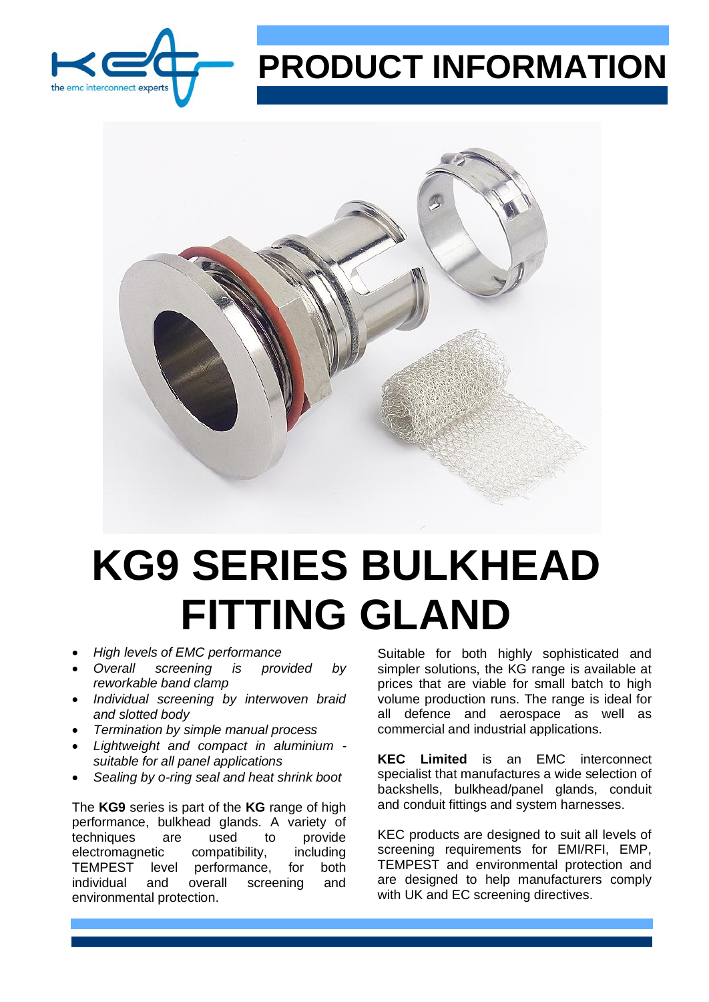

## **PRODUCT INFORMATION**



## **KG9 SERIES BULKHEAD FITTING GLAND**

- *High levels of EMC performance*
- *Overall screening is provided by reworkable band clamp*
- *Individual screening by interwoven braid and slotted body*
- *Termination by simple manual process*
- *Lightweight and compact in aluminium suitable for all panel applications*
- *Sealing by o-ring seal and heat shrink boot*

The **KG9** series is part of the **KG** range of high performance, bulkhead glands. A variety of techniques are used to provide electromagnetic compatibility, including TEMPEST level performance, for both individual and overall screening and environmental protection.

Suitable for both highly sophisticated and simpler solutions, the KG range is available at prices that are viable for small batch to high volume production runs. The range is ideal for all defence and aerospace as well as commercial and industrial applications.

**KEC Limited** is an EMC interconnect specialist that manufactures a wide selection of backshells, bulkhead/panel glands, conduit and conduit fittings and system harnesses.

KEC products are designed to suit all levels of screening requirements for EMI/RFI, EMP, TEMPEST and environmental protection and are designed to help manufacturers comply with UK and EC screening directives.